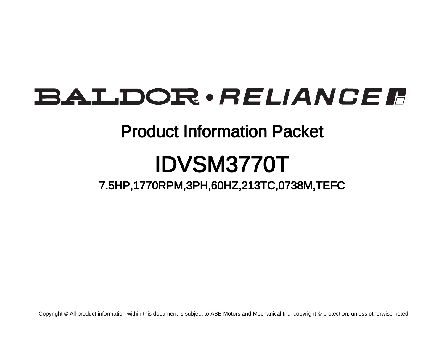# BALDOR · RELIANCE F

## Product Information Packet

# IDVSM3770T

7.5HP,1770RPM,3PH,60HZ,213TC,0738M,TEFC

Copyright © All product information within this document is subject to ABB Motors and Mechanical Inc. copyright © protection, unless otherwise noted.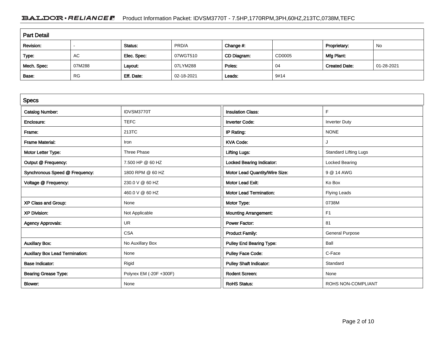### BALDOR · RELIANCE F Product Information Packet: IDVSM3770T - 7.5HP,1770RPM,3PH,60HZ,213TC,0738M,TEFC

| <b>Part Detail</b> |           |             |            |             |        |                      |            |  |
|--------------------|-----------|-------------|------------|-------------|--------|----------------------|------------|--|
| Revision:          |           | Status:     | PRD/A      | Change #:   |        | Proprietary:         | No         |  |
| Type:              | AC        | Elec. Spec: | 07WGT510   | CD Diagram: | CD0005 | Mfg Plant:           |            |  |
| Mech. Spec:        | 07M288    | Layout:     | 07LYM288   | Poles:      | 04     | <b>Created Date:</b> | 01-28-2021 |  |
| Base:              | <b>RG</b> | Eff. Date:  | 02-18-2021 | Leads:      | 9#14   |                      |            |  |

| <b>Specs</b>                           |                         |                                  |                              |
|----------------------------------------|-------------------------|----------------------------------|------------------------------|
| <b>Catalog Number:</b>                 | IDVSM3770T              | <b>Insulation Class:</b>         | F                            |
| Enclosure:                             | <b>TEFC</b>             | <b>Inverter Code:</b>            | <b>Inverter Duty</b>         |
| Frame:                                 | 213TC                   | IP Rating:                       | <b>NONE</b>                  |
| <b>Frame Material:</b>                 | Iron                    | <b>KVA Code:</b>                 | J                            |
| Motor Letter Type:                     | Three Phase             | <b>Lifting Lugs:</b>             | <b>Standard Lifting Lugs</b> |
| Output @ Frequency:                    | 7.500 HP @ 60 HZ        | <b>Locked Bearing Indicator:</b> | Locked Bearing               |
| Synchronous Speed @ Frequency:         | 1800 RPM @ 60 HZ        | Motor Lead Quantity/Wire Size:   | 9 @ 14 AWG                   |
| Voltage @ Frequency:                   | 230.0 V @ 60 HZ         | <b>Motor Lead Exit:</b>          | Ko Box                       |
|                                        | 460.0 V @ 60 HZ         | <b>Motor Lead Termination:</b>   | <b>Flying Leads</b>          |
| XP Class and Group:                    | None                    | Motor Type:                      | 0738M                        |
| <b>XP Division:</b>                    | Not Applicable          | <b>Mounting Arrangement:</b>     | F <sub>1</sub>               |
| <b>Agency Approvals:</b>               | UR                      | <b>Power Factor:</b>             | 81                           |
|                                        | <b>CSA</b>              | <b>Product Family:</b>           | <b>General Purpose</b>       |
| <b>Auxillary Box:</b>                  | No Auxillary Box        | <b>Pulley End Bearing Type:</b>  | Ball                         |
| <b>Auxillary Box Lead Termination:</b> | None                    | <b>Pulley Face Code:</b>         | C-Face                       |
| <b>Base Indicator:</b>                 | Rigid                   | <b>Pulley Shaft Indicator:</b>   | Standard                     |
| <b>Bearing Grease Type:</b>            | Polyrex EM (-20F +300F) | <b>Rodent Screen:</b>            | None                         |
| Blower:                                | None                    | <b>RoHS Status:</b>              | ROHS NON-COMPLIANT           |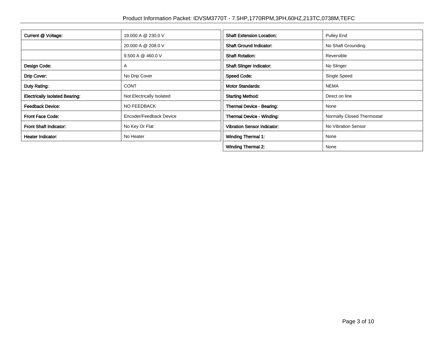| Current @ Voltage:                    | 19.000 A @ 230.0 V        | <b>Shaft Extension Location:</b>   | Pulley End                 |
|---------------------------------------|---------------------------|------------------------------------|----------------------------|
|                                       | 20.000 A @ 208.0 V        | <b>Shaft Ground Indicator:</b>     | No Shaft Grounding         |
|                                       | 9.500 A @ 460.0 V         | <b>Shaft Rotation:</b>             | Reversible                 |
| Design Code:                          | A                         | <b>Shaft Slinger Indicator:</b>    | No Slinger                 |
| Drip Cover:                           | No Drip Cover             | <b>Speed Code:</b>                 | Single Speed               |
| Duty Rating:                          | <b>CONT</b>               | <b>Motor Standards:</b>            | <b>NEMA</b>                |
| <b>Electrically Isolated Bearing:</b> | Not Electrically Isolated | <b>Starting Method:</b>            | Direct on line             |
| <b>Feedback Device:</b>               | NO FEEDBACK               | Thermal Device - Bearing:          | None                       |
| <b>Front Face Code:</b>               | Encoder/Feedback Device   | Thermal Device - Winding:          | Normally Closed Thermostat |
| Front Shaft Indicator:                | No Key Or Flat            | <b>Vibration Sensor Indicator:</b> | No Vibration Sensor        |
| Heater Indicator:                     | No Heater                 | <b>Winding Thermal 1:</b>          | None                       |
|                                       |                           | <b>Winding Thermal 2:</b>          | None                       |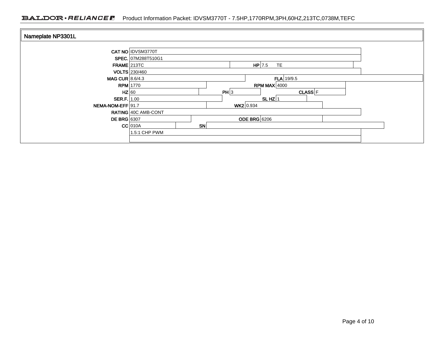| Nameplate NP3301L                       |                            |                                   |                     |              |             |  |  |
|-----------------------------------------|----------------------------|-----------------------------------|---------------------|--------------|-------------|--|--|
|                                         | CAT NO IDVSM3770T          |                                   |                     |              |             |  |  |
| FRAME 213TC                             |                            | SPEC. 07M288T510G1<br>$HP$ 7.5 TE |                     |              |             |  |  |
| MAG CUR $8.6/4.3$                       | VOLTS 230/460              |                                   | $FLA$ 19/9.5        |              |             |  |  |
| $HZ$ 60                                 | $RPM$ 1770                 |                                   | PH 3                | RPM MAX 4000 | $CLASS$ $F$ |  |  |
| <b>SER.F.</b> 1.00<br>NEMA-NOM-EFF 91.7 |                            |                                   | WK2 0.934           | SLHZ $ 1$    |             |  |  |
| <b>DE BRG</b> 6307                      | RATING 40C AMB-CONT        |                                   | <b>ODE BRG</b> 6206 |              |             |  |  |
|                                         | $CC$ 010A<br>1.5:1 CHP PWM | SN                                |                     |              |             |  |  |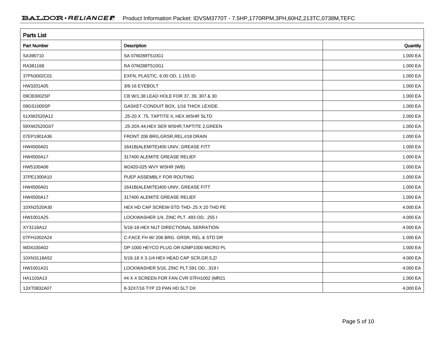| <b>Parts List</b>  |                                            |          |  |  |  |  |
|--------------------|--------------------------------------------|----------|--|--|--|--|
| <b>Part Number</b> | Description                                | Quantity |  |  |  |  |
| SA390710           | SA 07M288T510G1                            | 1.000 EA |  |  |  |  |
| RA381168           | RA 07M288T510G1                            | 1.000 EA |  |  |  |  |
| 37FN3002C01        | EXFN, PLASTIC, 6.00 OD, 1.155 ID           | 1.000 EA |  |  |  |  |
| HW3201A05          | 3/8-16 EYEBOLT                             | 1.000 EA |  |  |  |  |
| 09CB3002SP         | CB W/1.38 LEAD HOLE FOR 37, 39, 307 & 30   | 1.000 EA |  |  |  |  |
| 09GS1000SP         | GASKET-CONDUIT BOX, 1/16 THICK LEXIDE      | 1.000 EA |  |  |  |  |
| 51XW2520A12        | .25-20 X .75, TAPTITE II, HEX WSHR SLTD    | 2.000 EA |  |  |  |  |
| 59XW2520G07        | .25-20X.44, HEX SER WSHR, TAPTITE 2, GREEN | 1.000 EA |  |  |  |  |
| 07EP1901A36        | FRONT 206 BRG, GRSR, REL, #18 DRAIN        | 1.000 EA |  |  |  |  |
| HW4500A01          | 1641B(ALEMITE)400 UNIV, GREASE FITT        | 1.000 EA |  |  |  |  |
| HW4500A17          | 317400 ALEMITE GREASE RELIEF               | 1.000 EA |  |  |  |  |
| HW5100A06          | W2420-025 WVY WSHR (WB)                    | 1.000 EA |  |  |  |  |
| 37PE1300A10        | PUEP ASSEMBLY FOR ROUTING                  | 1.000 EA |  |  |  |  |
| HW4500A01          | 1641B(ALEMITE)400 UNIV, GREASE FITT        | 1.000 EA |  |  |  |  |
| HW4500A17          | 317400 ALEMITE GREASE RELIEF               | 1.000 EA |  |  |  |  |
| 10XN2520A30        | HEX HD CAP SCREW-STD THD-.25 X 20 THD PE   | 4.000 EA |  |  |  |  |
| HW1001A25          | LOCKWASHER 1/4, ZINC PLT .493 OD, .255 I   | 4.000 EA |  |  |  |  |
| XY3118A12          | 5/16-18 HEX NUT DIRECTIONAL SERRATION      | 4.000 EA |  |  |  |  |
| 07FH1002A24        | C-FACE FH W/ 206 BRG. GRSR, REL & STD DR   | 1.000 EA |  |  |  |  |
| WD4100A02          | DP-1000 HEYCO PLUG OR 62MP1000 MICRO PL    | 1.000 EA |  |  |  |  |
| 10XN3118A52        | 5/16-18 X 3-1/4 HEX HEAD CAP SCR, GR.5, Z/ | 4.000 EA |  |  |  |  |
| HW1001A31          | LOCKWASHER 5/16, ZINC PLT.591 OD, .319 I   | 4.000 EA |  |  |  |  |
| HA1103A13          | #4 X 4 SCREEN FOR FAN CVR 07FH1002 (MR21   | 1.000 EA |  |  |  |  |
| 13XT0832A07        | 8-32X7/16 TYP 23 PAN HD SLT DX             | 4.000 EA |  |  |  |  |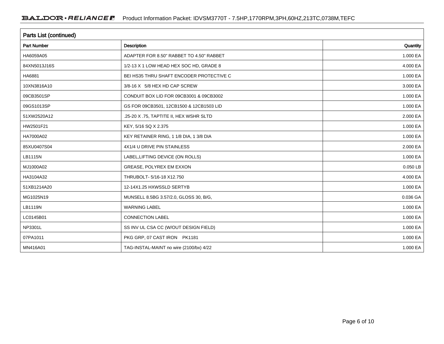| <b>Parts List (continued)</b> |                                          |          |  |  |  |  |
|-------------------------------|------------------------------------------|----------|--|--|--|--|
| <b>Part Number</b>            | <b>Description</b>                       | Quantity |  |  |  |  |
| HA6059A05                     | ADAPTER FOR 8.50" RABBET TO 4.50" RABBET | 1.000 EA |  |  |  |  |
| 84XN5013J16S                  | 1/2-13 X 1 LOW HEAD HEX SOC HD, GRADE 8  | 4.000 EA |  |  |  |  |
| HA6881                        | BEI HS35 THRU SHAFT ENCODER PROTECTIVE C | 1.000 EA |  |  |  |  |
| 10XN3816A10                   | 3/8-16 X 5/8 HEX HD CAP SCREW            | 3.000 EA |  |  |  |  |
| 09CB3501SP                    | CONDUIT BOX LID FOR 09CB3001 & 09CB3002  | 1.000 EA |  |  |  |  |
| 09GS1013SP                    | GS FOR 09CB3501, 12CB1500 & 12CB1503 LID | 1.000 EA |  |  |  |  |
| 51XW2520A12                   | .25-20 X .75, TAPTITE II, HEX WSHR SLTD  | 2.000 EA |  |  |  |  |
| HW2501F21                     | KEY, 5/16 SQ X 2.375                     | 1.000 EA |  |  |  |  |
| HA7000A02                     | KEY RETAINER RING, 1 1/8 DIA, 1 3/8 DIA  | 1.000 EA |  |  |  |  |
| 85XU0407S04                   | 4X1/4 U DRIVE PIN STAINLESS              | 2.000 EA |  |  |  |  |
| LB1115N                       | LABEL, LIFTING DEVICE (ON ROLLS)         | 1.000 EA |  |  |  |  |
| MJ1000A02                     | GREASE, POLYREX EM EXXON                 | 0.050 LB |  |  |  |  |
| HA3104A32                     | THRUBOLT- 5/16-18 X12.750                | 4.000 EA |  |  |  |  |
| 51XB1214A20                   | 12-14X1.25 HXWSSLD SERTYB                | 1.000 EA |  |  |  |  |
| MG1025N19                     | MUNSELL 8.5BG 3.57/2.0, GLOSS 30, B/G,   | 0.036 GA |  |  |  |  |
| LB1119N                       | <b>WARNING LABEL</b>                     | 1.000 EA |  |  |  |  |
| LC0145B01                     | <b>CONNECTION LABEL</b>                  | 1.000 EA |  |  |  |  |
| NP3301L                       | SS INV UL CSA CC (W/OUT DESIGN FIELD)    | 1.000 EA |  |  |  |  |
| 07PA1011                      | PKG GRP, 07 CAST IRON PK1181             | 1.000 EA |  |  |  |  |
| MN416A01                      | TAG-INSTAL-MAINT no wire (2100/bx) 4/22  | 1.000 EA |  |  |  |  |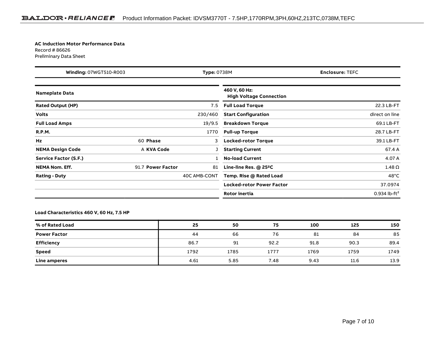#### **AC Induction Motor Performance Data**Record # 86626

Preliminary Data Sheet

| <b>Winding: 07WGT510-R003</b><br><b>Type: 0738M</b> |                   |              | <b>Enclosure: TEFC</b>                          |                          |  |  |
|-----------------------------------------------------|-------------------|--------------|-------------------------------------------------|--------------------------|--|--|
| <b>Nameplate Data</b>                               |                   |              | 460 V, 60 Hz:<br><b>High Voltage Connection</b> |                          |  |  |
| <b>Rated Output (HP)</b>                            |                   | 7.5          | <b>Full Load Torque</b>                         | 22.3 LB-FT               |  |  |
| <b>Volts</b>                                        |                   | 230/460      | <b>Start Configuration</b>                      | direct on line           |  |  |
| <b>Full Load Amps</b>                               |                   | 19/9.5       | <b>Breakdown Torque</b>                         | 69.1 LB-FT               |  |  |
| <b>R.P.M.</b>                                       |                   | 1770         | <b>Pull-up Torque</b>                           | 28.7 LB-FT               |  |  |
| Hz                                                  | 60 Phase          | 3            | <b>Locked-rotor Torque</b>                      | 39.1 LB-FT               |  |  |
| <b>NEMA Design Code</b>                             | A KVA Code        |              | <b>Starting Current</b>                         | 67.4 A                   |  |  |
| Service Factor (S.F.)                               |                   |              | <b>No-load Current</b>                          | 4.07 A                   |  |  |
| <b>NEMA Nom. Eff.</b>                               | 91.7 Power Factor | 81           | Line-line Res. $@$ 25 <sup>o</sup> C            | $1.48\,\Omega$           |  |  |
| <b>Rating - Duty</b>                                |                   | 40C AMB-CONT | Temp. Rise @ Rated Load                         | $48^{\circ}$ C           |  |  |
|                                                     |                   |              | <b>Locked-rotor Power Factor</b>                | 37.0974                  |  |  |
|                                                     |                   |              | Rotor inertia                                   | 0.934 lb-ft <sup>2</sup> |  |  |

### **Load Characteristics 460 V, 60 Hz, 7.5 HP**

| % of Rated Load     | 25   | 50   | 75   | 100  | 125  | 150  |
|---------------------|------|------|------|------|------|------|
| <b>Power Factor</b> | 44   | 66   | 76   | 81   | 84   | 85   |
| Efficiency          | 86.7 | 91   | 92.2 | 91.8 | 90.3 | 89.4 |
| Speed               | 1792 | 1785 | 1777 | 1769 | 1759 | 1749 |
| Line amperes        | 4.61 | 5.85 | 7.48 | 9.43 | 11.6 | 13.9 |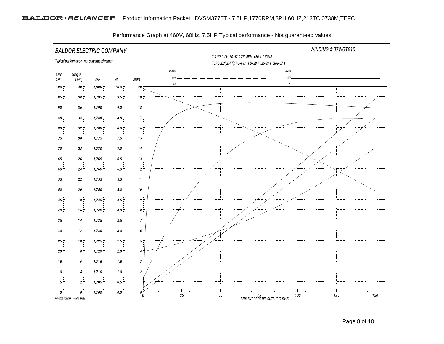

Performance Graph at 460V, 60Hz, 7.5HP Typical performance - Not guaranteed values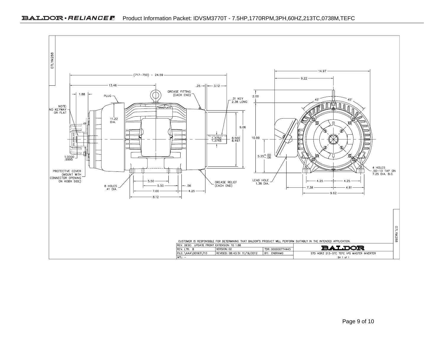